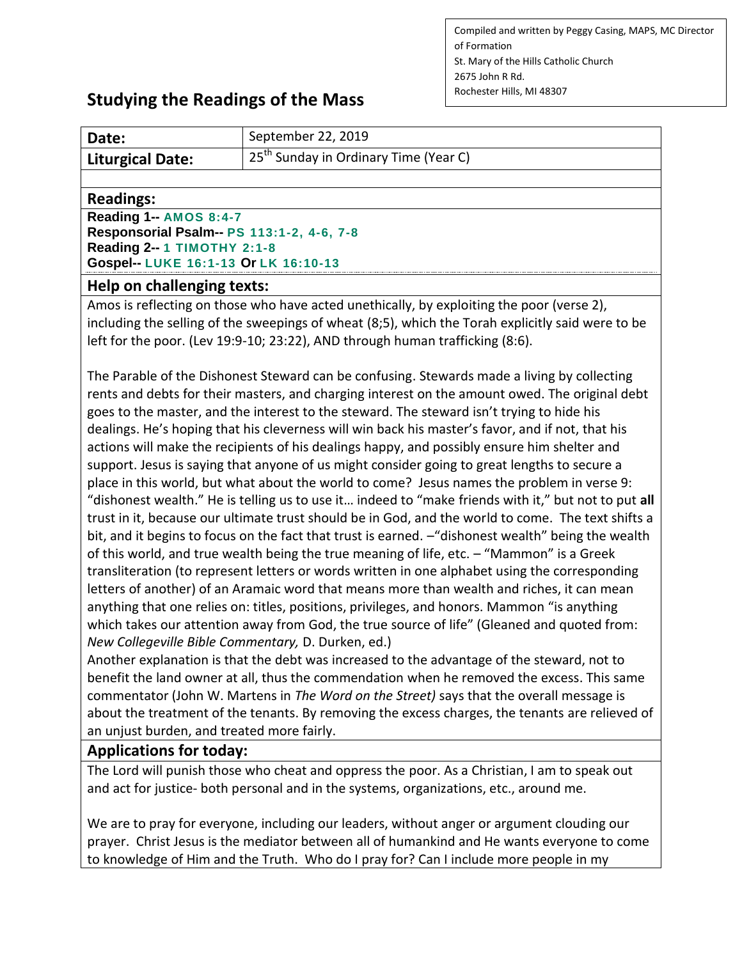Compiled and written by Peggy Casing, MAPS, MC Director of Formation St. Mary of the Hills Catholic Church 2675 John R Rd. Rochester Hills, MI 48307

# **Studying the Readings of the Mass**

| Date:                   | September 22, 2019                                |
|-------------------------|---------------------------------------------------|
| <b>Liturgical Date:</b> | 25 <sup>th</sup> Sunday in Ordinary Time (Year C) |

#### **Readings:**

**Reading 1-- [AMOS](http://www.usccb.org/bible/readings/bible/Amos/8:4) 8:4-7 Responsorial Psalm-- PS [113:1-2,](http://www.usccb.org/bible/readings/bible/Psalms/113:1) 4-6, 7-8 Reading 2-- 1 [TIMOTHY](http://www.usccb.org/bible/readings/bible/1timothy/2:1) 2:1-8 Gospel-- LUKE [16:1-13](http://www.usccb.org/bible/readings/bible/luke/16:1) Or LK [16:10-13](http://www.usccb.org/bible/readings/bible/luke/16:10)**

#### **Help on challenging texts:**

Amos is reflecting on those who have acted unethically, by exploiting the poor (verse 2), including the selling of the sweepings of wheat (8;5), which the Torah explicitly said were to be left for the poor. (Lev 19:9-10; 23:22), AND through human trafficking (8:6).

The Parable of the Dishonest Steward can be confusing. Stewards made a living by collecting rents and debts for their masters, and charging interest on the amount owed. The original debt goes to the master, and the interest to the steward. The steward isn't trying to hide his dealings. He's hoping that his cleverness will win back his master's favor, and if not, that his actions will make the recipients of his dealings happy, and possibly ensure him shelter and support. Jesus is saying that anyone of us might consider going to great lengths to secure a place in this world, but what about the world to come? Jesus names the problem in verse 9: "dishonest wealth." He is telling us to use it… indeed to "make friends with it," but not to put **all**  trust in it, because our ultimate trust should be in God, and the world to come. The text shifts a bit, and it begins to focus on the fact that trust is earned. - "dishonest wealth" being the wealth of this world, and true wealth being the true meaning of life, etc. – "Mammon" is a Greek transliteration (to represent letters or words written in one alphabet using the corresponding letters of another) of an Aramaic word that means more than wealth and riches, it can mean anything that one relies on: titles, positions, privileges, and honors. Mammon "is anything which takes our attention away from God, the true source of life" (Gleaned and quoted from: *New Collegeville Bible Commentary,* D. Durken, ed.)

Another explanation is that the debt was increased to the advantage of the steward, not to benefit the land owner at all, thus the commendation when he removed the excess. This same commentator (John W. Martens in *The Word on the Street)* says that the overall message is about the treatment of the tenants. By removing the excess charges, the tenants are relieved of an unjust burden, and treated more fairly.

### **Applications for today:**

The Lord will punish those who cheat and oppress the poor. As a Christian, I am to speak out and act for justice- both personal and in the systems, organizations, etc., around me.

We are to pray for everyone, including our leaders, without anger or argument clouding our prayer. Christ Jesus is the mediator between all of humankind and He wants everyone to come to knowledge of Him and the Truth. Who do I pray for? Can I include more people in my